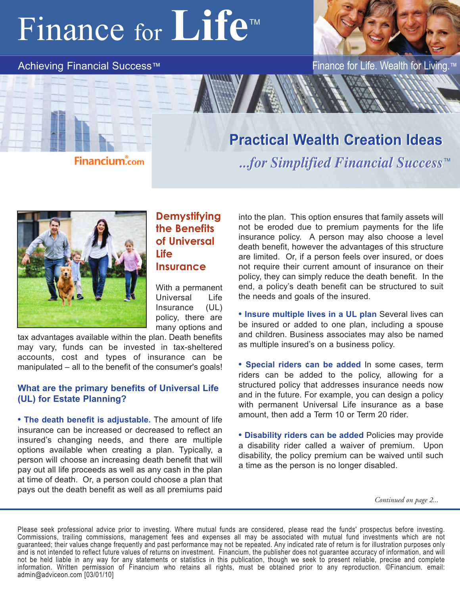## Finance for **Life™**

#### Achieving Financial Success™ Finance for Life. Wealth for Living.

**Financium.com** 

### **Practical Wealth Creation Ideas Practical Wealth Creation Ideas**

*...for Simplified Financial Success ...for Simplified Financial Success* TM



### **Demystifying the Benefits of Universal Life Insurance**

With a permanent Universal Life Insurance (UL) policy, there are many options and

tax advantages available within the plan. Death benefits may vary, funds can be invested in tax-sheltered accounts, cost and types of insurance can be manipulated – all to the benefit of the consumer's goals!

#### **What are the primary benefits of Universal Life (UL) for Estate Planning?**

**• The death benefit is adjustable.** The amount of life insurance can be increased or decreased to reflect an insured's changing needs, and there are multiple options available when creating a plan. Typically, a person will choose an increasing death benefit that will pay out all life proceeds as well as any cash in the plan at time of death. Or, a person could choose a plan that pays out the death benefit as well as all premiums paid

into the plan. This option ensures that family assets will not be eroded due to premium payments for the life insurance policy. A person may also choose a level death benefit, however the advantages of this structure are limited. Or, if a person feels over insured, or does not require their current amount of insurance on their policy, they can simply reduce the death benefit. In the end, a policy's death benefit can be structured to suit the needs and goals of the insured.

**• Insure multiple lives in a UL plan** Several lives can be insured or added to one plan, including a spouse and children. Business associates may also be named as multiple insured's on a business policy.

**• Special riders can be added** In some cases, term riders can be added to the policy, allowing for a structured policy that addresses insurance needs now and in the future. For example, you can design a policy with permanent Universal Life insurance as a base amount, then add a Term 10 or Term 20 rider.

**• Disability riders can be added** Policies may provide a disability rider called a waiver of premium. Upon disability, the policy premium can be waived until such a time as the person is no longer disabled.

*Continued on page 2...*

Please seek professional advice prior to investing. Where mutual funds are considered, please read the funds' prospectus before investing. Commissions, trailing commissions, management fees and expenses all may be associated with mutual fund investments which are not guaranteed; their values change frequently and past performance may not be repeated. Any indicated rate of return is for illustration purposes only and is not intended to reflect future values of returns on investment. Financium, the publisher does not guarantee accuracy of information, and will not be held liable in any way for any statements or statistics in this publication, though we seek to present reliable, precise and complete information. Written permission of Financium who retains all rights, must be obtained prior to any reproduction. ©Financium. email: admin@adviceon.com [03/01/10]